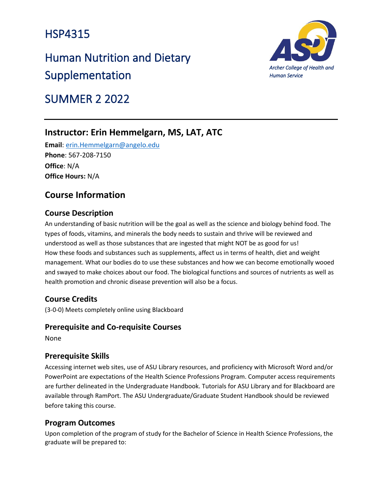# HSP4315

# Human Nutrition and Dietary Supplementation



# SUMMER 2 2022

# **Instructor: Erin Hemmelgarn, MS, LAT, ATC**

**Email**: [erin.Hemmelgarn@angelo.edu](mailto:erin.Hemmelgarn@angelo.edu) **Phone**: 567-208-7150 **Office**: N/A **Office Hours:** N/A

# **Course Information**

### **Course Description**

An understanding of basic nutrition will be the goal as well as the science and biology behind food. The types of foods, vitamins, and minerals the body needs to sustain and thrive will be reviewed and understood as well as those substances that are ingested that might NOT be as good for us! How these foods and substances such as supplements, affect us in terms of health, diet and weight management. What our bodies do to use these substances and how we can become emotionally wooed and swayed to make choices about our food. The biological functions and sources of nutrients as well as health promotion and chronic disease prevention will also be a focus.

### **Course Credits**

(3-0-0) Meets completely online using Blackboard

### **Prerequisite and Co-requisite Courses**

None

### **Prerequisite Skills**

Accessing internet web sites, use of ASU Library resources, and proficiency with Microsoft Word and/or PowerPoint are expectations of the Health Science Professions Program. Computer access requirements are further delineated in the Undergraduate Handbook. Tutorials for ASU Library and for Blackboard are available through RamPort. The ASU Undergraduate/Graduate Student Handbook should be reviewed before taking this course.

### **Program Outcomes**

Upon completion of the program of study for the Bachelor of Science in Health Science Professions, the graduate will be prepared to: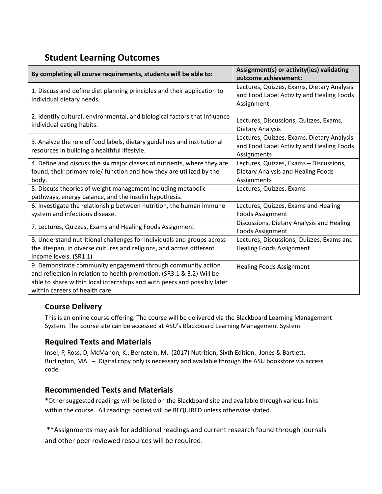# **Student Learning Outcomes**

| By completing all course requirements, students will be able to:                                                                                                                                                                                    | Assignment(s) or activity(ies) validating<br>outcome achievement:                                      |
|-----------------------------------------------------------------------------------------------------------------------------------------------------------------------------------------------------------------------------------------------------|--------------------------------------------------------------------------------------------------------|
| 1. Discuss and define diet planning principles and their application to<br>individual dietary needs.                                                                                                                                                | Lectures, Quizzes, Exams, Dietary Analysis<br>and Food Label Activity and Healing Foods<br>Assignment  |
| 2. Identify cultural, environmental, and biological factors that influence<br>individual eating habits.                                                                                                                                             | Lectures, Discussions, Quizzes, Exams,<br>Dietary Analysis                                             |
| 3. Analyze the role of food labels, dietary guidelines and institutional<br>resources in building a healthful lifestyle.                                                                                                                            | Lectures, Quizzes, Exams, Dietary Analysis<br>and Food Label Activity and Healing Foods<br>Assignments |
| 4. Define and discuss the six major classes of nutrients, where they are<br>found, their primary role/ function and how they are utilized by the<br>body.                                                                                           | Lectures, Quizzes, Exams - Discussions,<br>Dietary Analysis and Healing Foods<br>Assignments           |
| 5. Discuss theories of weight management including metabolic<br>pathways, energy balance, and the insulin hypothesis.                                                                                                                               | Lectures, Quizzes, Exams                                                                               |
| 6. Investigate the relationship between nutrition, the human immune<br>system and infectious disease.                                                                                                                                               | Lectures, Quizzes, Exams and Healing<br>Foods Assignment                                               |
| 7. Lectures, Quizzes, Exams and Healing Foods Assignment                                                                                                                                                                                            | Discussions, Dietary Analysis and Healing<br>Foods Assignment                                          |
| 8. Understand nutritional challenges for individuals and groups across<br>the lifespan, in diverse cultures and religions, and across different<br>income levels. (SR1.1)                                                                           | Lectures, Discussions, Quizzes, Exams and<br><b>Healing Foods Assignment</b>                           |
| 9. Demonstrate community engagement through community action<br>and reflection in relation to health promotion. (SR3.1 & 3.2) Will be<br>able to share within local internships and with peers and possibly later<br>within careers of health care. | <b>Healing Foods Assignment</b>                                                                        |

### **Course Delivery**

This is an online course offering. The course will be delivered via the Blackboard Learning Management System. The course site can be accessed at [ASU's Blackboard Learning Management System](http://blackboard.angelo.edu/)

### **Required Texts and Materials**

Insel, P, Ross, D, McMahon, K., Bernstein, M. (2017) Nutrition, Sixth Edition. Jones & Bartlett. Burlington, MA. – Digital copy only is necessary and available through the ASU bookstore via access code

### **Recommended Texts and Materials**

\*Other suggested readings will be listed on the Blackboard site and available through various links within the course. All readings posted will be REQUIRED unless otherwise stated.

\*\*Assignments may ask for additional readings and current research found through journals and other peer reviewed resources will be required.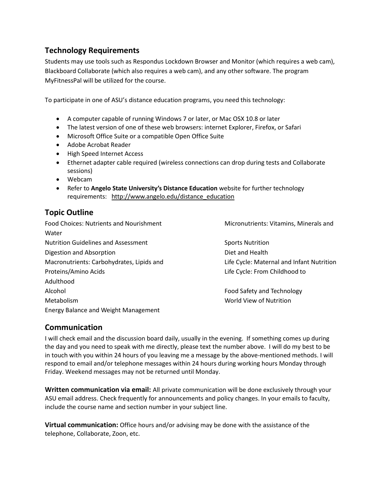### **Technology Requirements**

Students may use tools such as Respondus Lockdown Browser and Monitor (which requires a web cam), Blackboard Collaborate (which also requires a web cam), and any other software. The program MyFitnessPal will be utilized for the course.

To participate in one of ASU's distance education programs, you need this technology:

- A computer capable of running Windows 7 or later, or Mac OSX 10.8 or later
- The latest version of one of these web browsers: internet Explorer, Firefox, or Safari
- Microsoft Office Suite or a compatible Open Office Suite
- Adobe Acrobat Reader
- High Speed Internet Access
- Ethernet adapter cable required (wireless connections can drop during tests and Collaborate sessions)
- Webcam
- Refer to **Angelo State University's Distance Education** website for further technology requirements: [http://www.angelo.edu/distance\\_education](http://www.angelo.edu/distance_education)

### **Topic Outline**

Food Choices: Nutrients and Nourishment Micronutrients: Vitamins, Minerals and **Water** Nutrition Guidelines and Assessment Sports Nutrition Digestion and Absorption **Diet and Health** Macronutrients: Carbohydrates, Lipids and Life Cycle: Maternal and Infant Nutrition Proteins/Amino Acids Life Cycle: From Childhood to Adulthood Alcohol **Food Safety and Technology Food Safety and Technology** Metabolism World View of Nutrition Energy Balance and Weight Management

### **Communication**

I will check email and the discussion board daily, usually in the evening. If something comes up during the day and you need to speak with me directly, please text the number above. I will do my best to be in touch with you within 24 hours of you leaving me a message by the above-mentioned methods. I will respond to email and/or telephone messages within 24 hours during working hours Monday through Friday. Weekend messages may not be returned until Monday.

**Written communication via email:** All private communication will be done exclusively through your ASU email address. Check frequently for announcements and policy changes. In your emails to faculty, include the course name and section number in your subject line.

**Virtual communication:** Office hours and/or advising may be done with the assistance of the telephone, Collaborate, Zoon, etc.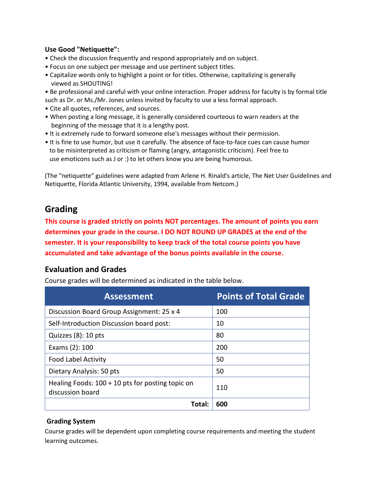### **Use Good "Netiquette":**

- Check the discussion frequently and respond appropriately and on subject.
- Focus on one subject per message and use pertinent subject titles.
- Capitalize words only to highlight a point or for titles. Otherwise, capitalizing is generally viewed as SHOUTING!
- Be professional and careful with your online interaction. Proper address for faculty is by formal title
- such as Dr. or Ms./Mr. Jones unless invited by faculty to use a less formal approach.
- Cite all quotes, references, and sources.
- When posting a long message, it is generally considered courteous to warn readers at the beginning of the message that it is a lengthy post.
- It is extremely rude to forward someone else's messages without their permission.
- It is fine to use humor, but use it carefully. The absence of face-to-face cues can cause humor to be misinterpreted as criticism or flaming (angry, antagonistic criticism). Feel free to use emoticons such as J or :) to let others know you are being humorous.

(The "netiquette" guidelines were adapted from Arlene H. Rinald's article, The Net User Guidelines and Netiquette, Florida Atlantic University, 1994, available from Netcom.)

## **Grading**

**This course is graded strictly on points NOT percentages. The amount of points you earn determines your grade in the course. I DO NOT ROUND UP GRADES at the end of the semester. It is your responsibility to keep track of the total course points you have accumulated and take advantage of the bonus points available in the course.**

### **Evaluation and Grades**

Course grades will be determined as indicated in the table below.

| <b>Assessment</b>                                                      | <b>Points of Total Grade</b> |
|------------------------------------------------------------------------|------------------------------|
| Discussion Board Group Assignment: 25 x 4                              | 100                          |
| Self-Introduction Discussion board post:                               | 10                           |
| Quizzes (8): 10 pts                                                    | 80                           |
| Exams (2): 100                                                         | 200                          |
| <b>Food Label Activity</b>                                             | 50                           |
| Dietary Analysis: 50 pts                                               | 50                           |
| Healing Foods: $100 + 10$ pts for posting topic on<br>discussion board | 110                          |
| Total:                                                                 | 600                          |

### **Grading System**

Course grades will be dependent upon completing course requirements and meeting the student learning outcomes.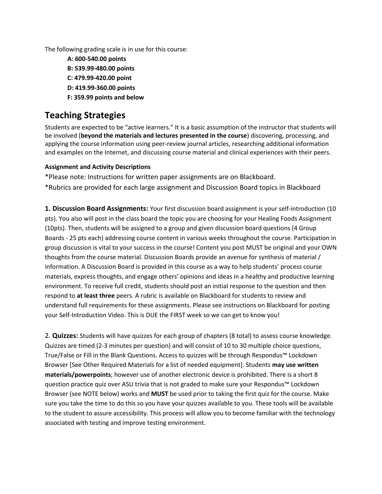The following grading scale is in use for this course:

**A: 600-540.00 points B: 539.99-480.00 points C: 479.99-420.00 point D: 419.99-360.00 points F: 359.99 points and below**

# **Teaching Strategies**

Students are expected to be "active learners." It is a basic assumption of the instructor that students will be involved (**beyond the materials and lectures presented in the course**) discovering, processing, and applying the course information using peer-review journal articles, researching additional information and examples on the Internet, and discussing course material and clinical experiences with their peers.

#### **Assignment and Activity Descriptions**

\*Please note: Instructions for written paper assignments are on Blackboard. \*Rubrics are provided for each large assignment and Discussion Board topics in Blackboard

**1. Discussion Board Assignments:** Your first discussion board assignment is your self-introduction (10 pts). You also will post in the class board the topic you are choosing for your Healing Foods Assignment (10pts). Then, students will be assigned to a group and given discussion board questions (4 Group Boards - 25 pts each) addressing course content in various weeks throughout the course. Participation in group discussion is vital to your success in the course! Content you post MUST be original and your OWN thoughts from the course material. Discussion Boards provide an avenue for synthesis of material / information. A Discussion Board is provided in this course as a way to help students' process course materials, express thoughts, and engage others' opinions and ideas in a healthy and productive learning environment. To receive full credit, students should post an initial response to the question and then respond to **at least three** peers. A rubric is available on Blackboard for students to review and understand full requirements for these assignments. Please see instructions on Blackboard for posting your Self-Introduction Video. This is DUE the FIRST week so we can get to know you!

2. **Quizzes:** Students will have quizzes for each group of chapters (8 total) to assess course knowledge. Quizzes are timed (2-3 minutes per question) and will consist of 10 to 30 multiple choice questions, True/False or Fill in the Blank Questions. Access to quizzes will be through Respondus™ Lockdown Browser [See Other Required Materials for a list of needed equipment]. Students **may use written materials/powerpoints**; however use of another electronic device is prohibited. There is a short 8 question practice quiz over ASU trivia that is not graded to make sure your Respondus™ Lockdown Browser (see NOTE below) works and **MUST** be used prior to taking the first quiz for the course. Make sure you take the time to do this so you have your quizzes available to you. These tools will be available to the student to assure accessibility. This process will allow you to become familiar with the technology associated with testing and improve testing environment.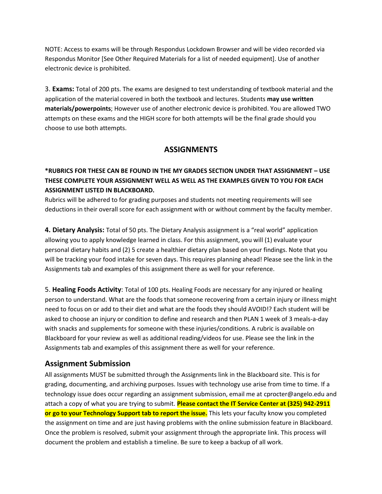NOTE: Access to exams will be through Respondus Lockdown Browser and will be video recorded via Respondus Monitor [See Other Required Materials for a list of needed equipment]. Use of another electronic device is prohibited.

3. **Exams:** Total of 200 pts. The exams are designed to test understanding of textbook material and the application of the material covered in both the textbook and lectures. Students **may use written materials/powerpoints**; However use of another electronic device is prohibited. You are allowed TWO attempts on these exams and the HIGH score for both attempts will be the final grade should you choose to use both attempts.

### **ASSIGNMENTS**

### **\*RUBRICS FOR THESE CAN BE FOUND IN THE MY GRADES SECTION UNDER THAT ASSIGNMENT – USE THESE COMPLETE YOUR ASSIGNMENT WELL AS WELL AS THE EXAMPLES GIVEN TO YOU FOR EACH ASSIGNMENT LISTED IN BLACKBOARD.**

Rubrics will be adhered to for grading purposes and students not meeting requirements will see deductions in their overall score for each assignment with or without comment by the faculty member.

**4. Dietary Analysis:** Total of 50 pts. The Dietary Analysis assignment is a "real world" application allowing you to apply knowledge learned in class. For this assignment, you will (1) evaluate your personal dietary habits and (2) 5 create a healthier dietary plan based on your findings. Note that you will be tracking your food intake for seven days. This requires planning ahead! Please see the link in the Assignments tab and examples of this assignment there as well for your reference.

5. **Healing Foods Activity**: Total of 100 pts. Healing Foods are necessary for any injured or healing person to understand. What are the foods that someone recovering from a certain injury or illness might need to focus on or add to their diet and what are the foods they should AVOID!? Each student will be asked to choose an injury or condition to define and research and then PLAN 1 week of 3 meals-a-day with snacks and supplements for someone with these injuries/conditions. A rubric is available on Blackboard for your review as well as additional reading/videos for use. Please see the link in the Assignments tab and examples of this assignment there as well for your reference.

### **Assignment Submission**

All assignments MUST be submitted through the Assignments link in the Blackboard site. This is for grading, documenting, and archiving purposes. Issues with technology use arise from time to time. If a technology issue does occur regarding an assignment submission, email me at cprocter@angelo.edu and attach a copy of what you are trying to submit. **Please contact the IT Service Center at (325) 942-2911 or go to your Technology Support tab to report the issue.** This lets your faculty know you completed the assignment on time and are just having problems with the online submission feature in Blackboard. Once the problem is resolved, submit your assignment through the appropriate link. This process will document the problem and establish a timeline. Be sure to keep a backup of all work.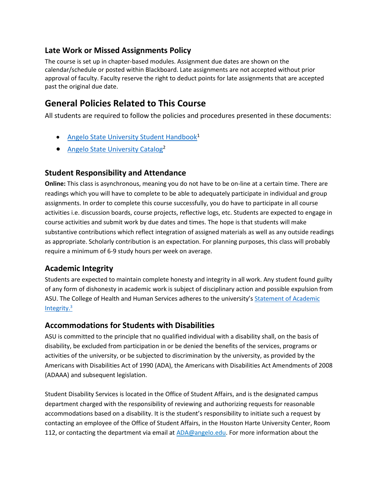### **Late Work or Missed Assignments Policy**

The course is set up in chapter-based modules. Assignment due dates are shown on the calendar/schedule or posted within Blackboard. Late assignments are not accepted without prior approval of faculty. Faculty reserve the right to deduct points for late assignments that are accepted past the original due date.

## **General Policies Related to This Course**

All students are required to follow the policies and procedures presented in these documents:

- [Angelo State University Student Handbook](http://www.angelo.edu/student-handbook/)<sup>1</sup>
- [Angelo State University Catalog](http://www.angelo.edu/catalogs/)<sup>2</sup>

### **Student Responsibility and Attendance**

**Online:** This class is asynchronous, meaning you do not have to be on-line at a certain time. There are readings which you will have to complete to be able to adequately participate in individual and group assignments. In order to complete this course successfully, you do have to participate in all course activities i.e. discussion boards, course projects, reflective logs, etc. Students are expected to engage in course activities and submit work by due dates and times. The hope is that students will make substantive contributions which reflect integration of assigned materials as well as any outside readings as appropriate. Scholarly contribution is an expectation. For planning purposes, this class will probably require a minimum of 6-9 study hours per week on average.

### **Academic Integrity**

Students are expected to maintain complete honesty and integrity in all work. Any student found guilty of any form of dishonesty in academic work is subject of disciplinary action and possible expulsion from ASU. The College of Health and Human Services adheres to the university's [Statement of](https://www.angelo.edu/student-handbook/community-policies/academic-integrity.php) Academic [Integrity.](https://www.angelo.edu/student-handbook/community-policies/academic-integrity.php)<sup>3</sup>

### **Accommodations for Students with Disabilities**

ASU is committed to the principle that no qualified individual with a disability shall, on the basis of disability, be excluded from participation in or be denied the benefits of the services, programs or activities of the university, or be subjected to discrimination by the university, as provided by the Americans with Disabilities Act of 1990 (ADA), the Americans with Disabilities Act Amendments of 2008 (ADAAA) and subsequent legislation.

Student Disability Services is located in the Office of Student Affairs, and is the designated campus department charged with the responsibility of reviewing and authorizing requests for reasonable accommodations based on a disability. It is the student's responsibility to initiate such a request by contacting an employee of the Office of Student Affairs, in the Houston Harte University Center, Room 112, or contacting the department via email at [ADA@angelo.edu.](mailto:ADA@angelo.edu) For more information about the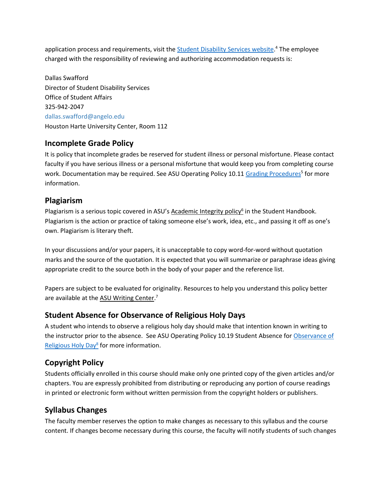application process and requirements, visit the **Student Disability Services website.<sup>4</sup> The employee** charged with the responsibility of reviewing and authorizing accommodation requests is:

Dallas Swafford Director of Student Disability Services Office of Student Affairs 325-942-2047 dallas.swafford@angelo.edu Houston Harte University Center, Room 112

### **Incomplete Grade Policy**

It is policy that incomplete grades be reserved for student illness or personal misfortune. Please contact faculty if you have serious illness or a personal misfortune that would keep you from completing course work. Documentation may be required. See ASU Operating Policy 10.11 [Grading Procedures](http://www.angelo.edu/content/files/14197-op-1011-grading-procedures)<sup>5</sup> for more information.

### **Plagiarism**

Plagiarism is a serious topic covered in ASU's [Academic Integrity policy](http://www.angelo.edu/student-handbook/community-policies/academic-integrity.php)<sup>6</sup> in the Student Handbook. Plagiarism is the action or practice of taking someone else's work, idea, etc., and passing it off as one's own. Plagiarism is literary theft.

In your discussions and/or your papers, it is unacceptable to copy word-for-word without quotation marks and the source of the quotation. It is expected that you will summarize or paraphrase ideas giving appropriate credit to the source both in the body of your paper and the reference list.

Papers are subject to be evaluated for originality. Resources to help you understand this policy better are available at the [ASU Writing Center.](http://www.angelo.edu/dept/writing_center/academic_honesty.php)<sup>7</sup>

### **Student Absence for Observance of Religious Holy Days**

A student who intends to observe a religious holy day should make that intention known in writing to the instructor prior to the absence. See ASU Operating Policy 10.19 Student Absence for Observance of [Religious Holy Day](http://www.angelo.edu/content/files/14206-op-1019-student-absence-for-observance-of)<sup>8</sup> for more information.

## **Copyright Policy**

Students officially enrolled in this course should make only one printed copy of the given articles and/or chapters. You are expressly prohibited from distributing or reproducing any portion of course readings in printed or electronic form without written permission from the copyright holders or publishers.

### **Syllabus Changes**

The faculty member reserves the option to make changes as necessary to this syllabus and the course content. If changes become necessary during this course, the faculty will notify students of such changes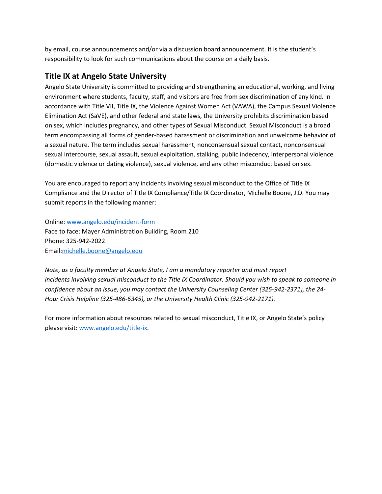by email, course announcements and/or via a discussion board announcement. It is the student's responsibility to look for such communications about the course on a daily basis.

### **Title IX at Angelo State University**

Angelo State University is committed to providing and strengthening an educational, working, and living environment where students, faculty, staff, and visitors are free from sex discrimination of any kind. In accordance with Title VII, Title IX, the Violence Against Women Act (VAWA), the Campus Sexual Violence Elimination Act (SaVE), and other federal and state laws, the University prohibits discrimination based on sex, which includes pregnancy, and other types of Sexual Misconduct. Sexual Misconduct is a broad term encompassing all forms of gender-based harassment or discrimination and unwelcome behavior of a sexual nature. The term includes sexual harassment, nonconsensual sexual contact, nonconsensual sexual intercourse, sexual assault, sexual exploitation, stalking, public indecency, interpersonal violence (domestic violence or dating violence), sexual violence, and any other misconduct based on sex.

You are encouraged to report any incidents involving sexual misconduct to the Office of Title IX Compliance and the Director of Title IX Compliance/Title IX Coordinator, Michelle Boone, J.D. You may submit reports in the following manner:

Online: [www.angelo.edu/incident-form](http://www.angelo.edu/incident-form) Face to face: Mayer Administration Building, Room 210 Phone: 325-942-2022 Email[:michelle.boone@angelo.edu](mailto:michelle.boone@angelo.edu)

*Note, as a faculty member at Angelo State, I am a mandatory reporter and must report incidents involving sexual misconduct to the Title IX Coordinator. Should you wish to speak to someone in confidence about an issue, you may contact the University Counseling Center (325-942-2371), the 24- Hour Crisis Helpline (325-486-6345), or the University Health Clinic (325-942-2171).*

For more information about resources related to sexual misconduct, Title IX, or Angelo State's policy please visit[: www.angelo.edu/title-ix.](http://www.angelo.edu/title-ix)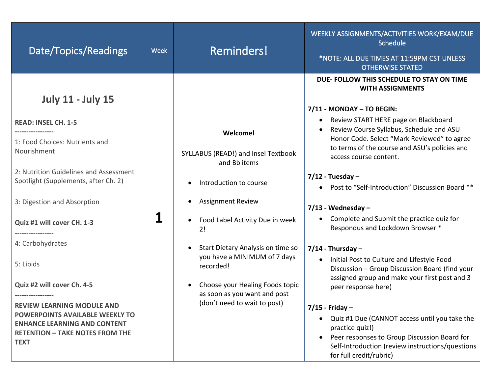| Date/Topics/Readings                                                           | <b>Week</b> | <b>Reminders!</b>                                               | WEEKLY ASSIGNMENTS/ACTIVITIES WORK/EXAM/DUE<br>Schedule<br>*NOTE: ALL DUE TIMES AT 11:59PM CST UNLESS<br><b>OTHERWISE STATED</b>              |
|--------------------------------------------------------------------------------|-------------|-----------------------------------------------------------------|-----------------------------------------------------------------------------------------------------------------------------------------------|
|                                                                                |             |                                                                 | DUE- FOLLOW THIS SCHEDULE TO STAY ON TIME<br><b>WITH ASSIGNMENTS</b>                                                                          |
| <b>July 11 - July 15</b>                                                       |             |                                                                 | 7/11 - MONDAY - TO BEGIN:                                                                                                                     |
| <b>READ: INSEL CH. 1-5</b>                                                     |             |                                                                 | Review START HERE page on Blackboard                                                                                                          |
| 1: Food Choices: Nutrients and                                                 |             | Welcome!                                                        | Review Course Syllabus, Schedule and ASU<br>Honor Code. Select "Mark Reviewed" to agree                                                       |
| Nourishment                                                                    |             | SYLLABUS (READ!) and Insel Textbook<br>and Bb items             | to terms of the course and ASU's policies and<br>access course content.                                                                       |
| 2: Nutrition Guidelines and Assessment<br>Spotlight (Supplements, after Ch. 2) |             | Introduction to course                                          | $7/12$ - Tuesday -<br>Post to "Self-Introduction" Discussion Board **                                                                         |
| 3: Digestion and Absorption                                                    |             | <b>Assignment Review</b>                                        |                                                                                                                                               |
| Quiz #1 will cover CH. 1-3                                                     | 1           | Food Label Activity Due in week<br>2!                           | $7/13$ - Wednesday -<br>Complete and Submit the practice quiz for<br>Respondus and Lockdown Browser *                                         |
| 4: Carbohydrates                                                               |             | Start Dietary Analysis on time so<br>$\bullet$                  | $7/14$ - Thursday -                                                                                                                           |
| 5: Lipids                                                                      |             | you have a MINIMUM of 7 days<br>recorded!                       | Initial Post to Culture and Lifestyle Food<br>Discussion - Group Discussion Board (find your<br>assigned group and make your first post and 3 |
| Quiz #2 will cover Ch. 4-5<br>                                                 |             | Choose your Healing Foods topic<br>as soon as you want and post | peer response here)                                                                                                                           |
| <b>REVIEW LEARNING MODULE AND</b>                                              |             | (don't need to wait to post)                                    | $7/15$ - Friday -                                                                                                                             |
| POWERPOINTS AVAILABLE WEEKLY TO<br><b>ENHANCE LEARNING AND CONTENT</b>         |             |                                                                 | Quiz #1 Due (CANNOT access until you take the<br>$\bullet$<br>practice quiz!)                                                                 |
| <b>RETENTION - TAKE NOTES FROM THE</b><br><b>TEXT</b>                          |             |                                                                 | Peer responses to Group Discussion Board for<br>Self-Introduction (review instructions/questions<br>for full credit/rubric)                   |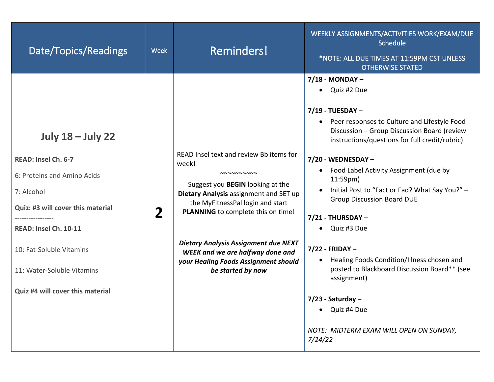| Date/Topics/Readings                                                                                                                                                                                                                                     | <b>Week</b>  | Reminders!                                                                                                                                                                                                                                                                                                                                                            | WEEKLY ASSIGNMENTS/ACTIVITIES WORK/EXAM/DUE<br>Schedule<br>*NOTE: ALL DUE TIMES AT 11:59PM CST UNLESS<br><b>OTHERWISE STATED</b>                                                                                                                                                                                                                                                                                                                                                                                                                                                                                                                                             |
|----------------------------------------------------------------------------------------------------------------------------------------------------------------------------------------------------------------------------------------------------------|--------------|-----------------------------------------------------------------------------------------------------------------------------------------------------------------------------------------------------------------------------------------------------------------------------------------------------------------------------------------------------------------------|------------------------------------------------------------------------------------------------------------------------------------------------------------------------------------------------------------------------------------------------------------------------------------------------------------------------------------------------------------------------------------------------------------------------------------------------------------------------------------------------------------------------------------------------------------------------------------------------------------------------------------------------------------------------------|
| <b>July 18 - July 22</b><br>READ: Insel Ch. 6-7<br>6: Proteins and Amino Acids<br>7: Alcohol<br>Quiz: #3 will cover this material<br>READ: Insel Ch. 10-11<br>10: Fat-Soluble Vitamins<br>11: Water-Soluble Vitamins<br>Quiz #4 will cover this material | $\mathbf{2}$ | READ Insel text and review Bb items for<br>week!<br>NNNNNNNNN<br>Suggest you BEGIN looking at the<br>Dietary Analysis assignment and SET up<br>the MyFitnessPal login and start<br>PLANNING to complete this on time!<br><b>Dietary Analysis Assignment due NEXT</b><br>WEEK and we are halfway done and<br>your Healing Foods Assignment should<br>be started by now | $7/18$ - MONDAY -<br>• Quiz #2 Due<br>7/19 - TUESDAY -<br>• Peer responses to Culture and Lifestyle Food<br>Discussion - Group Discussion Board (review<br>instructions/questions for full credit/rubric)<br>7/20 - WEDNESDAY -<br>• Food Label Activity Assignment (due by<br>11:59 <sub>pm</sub><br>Initial Post to "Fact or Fad? What Say You?" -<br><b>Group Discussion Board DUE</b><br>$7/21$ - THURSDAY -<br>Quiz #3 Due<br>$7/22$ - FRIDAY -<br>Healing Foods Condition/Illness chosen and<br>$\bullet$<br>posted to Blackboard Discussion Board** (see<br>assignment)<br>$7/23$ - Saturday –<br>• Quiz #4 Due<br>NOTE: MIDTERM EXAM WILL OPEN ON SUNDAY,<br>7/24/22 |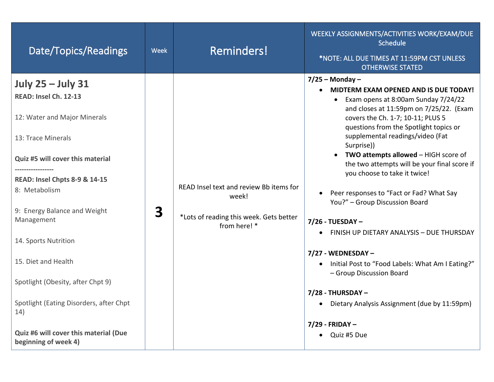|                                                                                                                                                                                                                                                                                                                                                                                                                                                                    |                                                                                                             | *NOTE: ALL DUE TIMES AT 11:59PM CST UNLESS<br><b>OTHERWISE STATED</b>                                                                                                                                                                                                                                                                                                                                                                                                                                                                                                                                                                                                                                                                                                                                 |
|--------------------------------------------------------------------------------------------------------------------------------------------------------------------------------------------------------------------------------------------------------------------------------------------------------------------------------------------------------------------------------------------------------------------------------------------------------------------|-------------------------------------------------------------------------------------------------------------|-------------------------------------------------------------------------------------------------------------------------------------------------------------------------------------------------------------------------------------------------------------------------------------------------------------------------------------------------------------------------------------------------------------------------------------------------------------------------------------------------------------------------------------------------------------------------------------------------------------------------------------------------------------------------------------------------------------------------------------------------------------------------------------------------------|
| <b>July 25 - July 31</b><br>READ: Insel Ch. 12-13<br>12: Water and Major Minerals<br>13: Trace Minerals<br>Quiz #5 will cover this material<br><b>READ: Insel Chpts 8-9 &amp; 14-15</b><br>8: Metabolism<br>3<br>9: Energy Balance and Weight<br>Management<br>14. Sports Nutrition<br>15. Diet and Health<br>Spotlight (Obesity, after Chpt 9)<br>Spotlight (Eating Disorders, after Chpt<br>14)<br>Quiz #6 will cover this material (Due<br>beginning of week 4) | READ Insel text and review Bb items for<br>week!<br>*Lots of reading this week. Gets better<br>from here! * | $7/25$ – Monday –<br>MIDTERM EXAM OPENED AND IS DUE TODAY!<br>$\bullet$<br>• Exam opens at 8:00am Sunday 7/24/22<br>and closes at 11:59pm on 7/25/22. (Exam<br>covers the Ch. 1-7; 10-11; PLUS 5<br>questions from the Spotlight topics or<br>supplemental readings/video (Fat<br>Surprise))<br>• TWO attempts allowed - HIGH score of<br>the two attempts will be your final score if<br>you choose to take it twice!<br>Peer responses to "Fact or Fad? What Say<br>You?" - Group Discussion Board<br>7/26 - TUESDAY -<br>FINISH UP DIETARY ANALYSIS - DUE THURSDAY<br>$\bullet$<br>7/27 - WEDNESDAY -<br>• Initial Post to "Food Labels: What Am I Eating?"<br>- Group Discussion Board<br>$7/28$ - THURSDAY -<br>• Dietary Analysis Assignment (due by 11:59pm)<br>7/29 - FRIDAY -<br>Quiz #5 Due |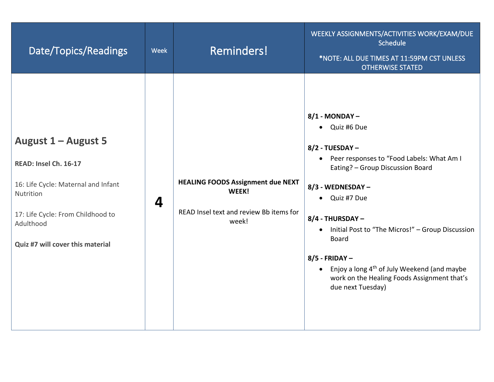| Date/Topics/Readings                                                                                                                                                                   | Week | <b>Reminders!</b>                                                                                     | WEEKLY ASSIGNMENTS/ACTIVITIES WORK/EXAM/DUE<br>Schedule<br>*NOTE: ALL DUE TIMES AT 11:59PM CST UNLESS<br><b>OTHERWISE STATED</b>                                                                                                                                                                                                                                                                                            |
|----------------------------------------------------------------------------------------------------------------------------------------------------------------------------------------|------|-------------------------------------------------------------------------------------------------------|-----------------------------------------------------------------------------------------------------------------------------------------------------------------------------------------------------------------------------------------------------------------------------------------------------------------------------------------------------------------------------------------------------------------------------|
| August 1 – August 5<br>READ: Insel Ch. 16-17<br>16: Life Cycle: Maternal and Infant<br>Nutrition<br>17: Life Cycle: From Childhood to<br>Adulthood<br>Quiz #7 will cover this material | 4    | <b>HEALING FOODS Assignment due NEXT</b><br>WEEK!<br>READ Insel text and review Bb items for<br>week! | 8/1 - MONDAY -<br>• Quiz #6 Due<br>8/2 - TUESDAY -<br>• Peer responses to "Food Labels: What Am I<br>Eating? - Group Discussion Board<br>8/3 - WEDNESDAY -<br>• Quiz #7 Due<br>8/4 - THURSDAY -<br>Initial Post to "The Micros!" - Group Discussion<br>$\bullet$<br><b>Board</b><br>$8/5$ - FRIDAY -<br>• Enjoy a long $4th$ of July Weekend (and maybe<br>work on the Healing Foods Assignment that's<br>due next Tuesday) |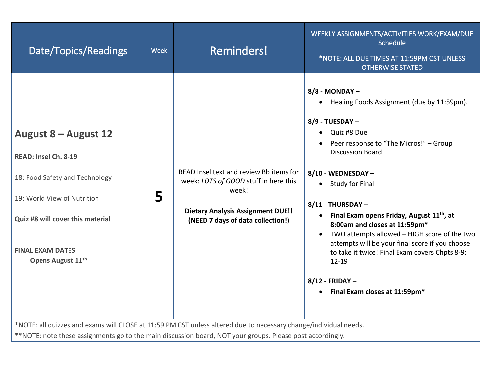| Date/Topics/Readings                                                                                                                                                                                                                                                                                                              | Week | <b>Reminders!</b>                                                                                                                                                          | WEEKLY ASSIGNMENTS/ACTIVITIES WORK/EXAM/DUE<br>Schedule<br>*NOTE: ALL DUE TIMES AT 11:59PM CST UNLESS<br><b>OTHERWISE STATED</b>                                                                                                                                                                                                                                                                                                                                                                                                                                                                |
|-----------------------------------------------------------------------------------------------------------------------------------------------------------------------------------------------------------------------------------------------------------------------------------------------------------------------------------|------|----------------------------------------------------------------------------------------------------------------------------------------------------------------------------|-------------------------------------------------------------------------------------------------------------------------------------------------------------------------------------------------------------------------------------------------------------------------------------------------------------------------------------------------------------------------------------------------------------------------------------------------------------------------------------------------------------------------------------------------------------------------------------------------|
| August 8 – August 12<br>READ: Insel Ch. 8-19<br>18: Food Safety and Technology<br>19: World View of Nutrition<br>Quiz #8 will cover this material<br><b>FINAL EXAM DATES</b><br>Opens August 11 <sup>th</sup><br>*NOTE: all quizzes and exams will CLOSE at 11:59 PM CST unless altered due to necessary change/individual needs. | 5    | READ Insel text and review Bb items for<br>week: LOTS of GOOD stuff in here this<br>week!<br><b>Dietary Analysis Assignment DUE!!</b><br>(NEED 7 days of data collection!) | 8/8 - MONDAY -<br>Healing Foods Assignment (due by 11:59pm).<br>$\bullet$<br>8/9 - TUESDAY -<br>Quiz #8 Due<br>$\bullet$<br>Peer response to "The Micros!" - Group<br><b>Discussion Board</b><br>8/10 - WEDNESDAY -<br><b>Study for Final</b><br>$\bullet$<br>8/11 - THURSDAY -<br>• Final Exam opens Friday, August 11 <sup>th</sup> , at<br>8:00am and closes at 11:59pm*<br>TWO attempts allowed - HIGH score of the two<br>attempts will be your final score if you choose<br>to take it twice! Final Exam covers Chpts 8-9;<br>12-19<br>8/12 - FRIDAY -<br>• Final Exam closes at 11:59pm* |
| **NOTE: note these assignments go to the main discussion board, NOT your groups. Please post accordingly.                                                                                                                                                                                                                         |      |                                                                                                                                                                            |                                                                                                                                                                                                                                                                                                                                                                                                                                                                                                                                                                                                 |